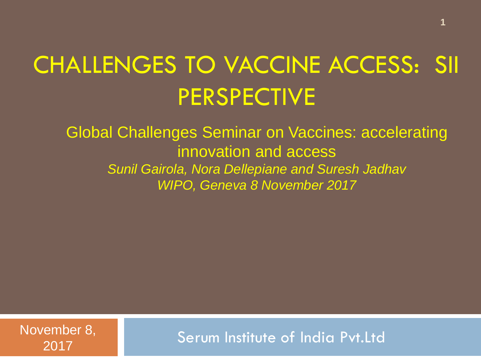## CHALLENGES TO VACCINE ACCESS: SII PERSPECTIVE

Global Challenges Seminar on Vaccines: accelerating innovation and access *Sunil Gairola, Nora Dellepiane and Suresh Jadhav WIPO, Geneva 8 November 2017*

November 8, 2017

Serum Institute of India Pvt.Ltd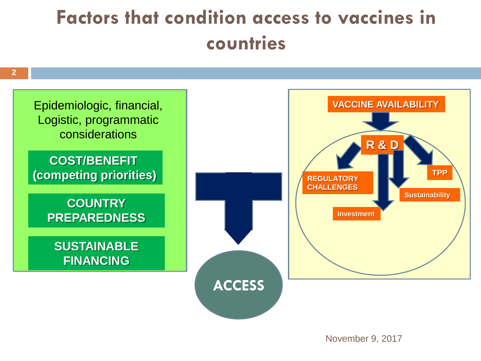## **Factors that condition access to vaccines in countries**

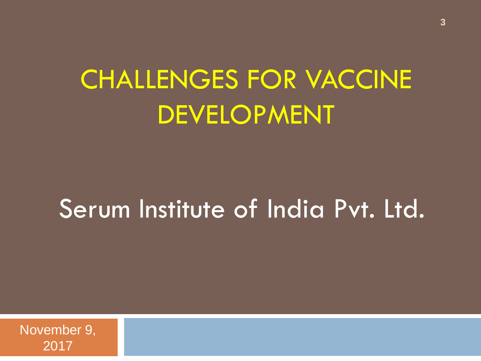# CHALLENGES FOR VACCINE DEVELOPMENT

## Serum Institute of India Pvt. Ltd.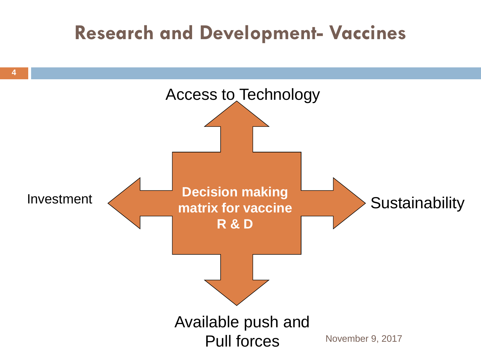### **Research and Development- Vaccines**

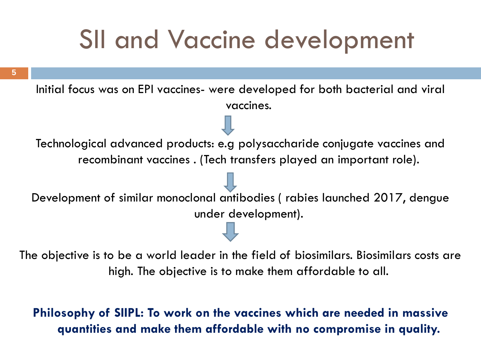## SII and Vaccine development

**5**

Initial focus was on EPI vaccines- were developed for both bacterial and viral vaccines. Technological advanced products: e.g polysaccharide conjugate vaccines and recombinant vaccines . (Tech transfers played an important role). Development of similar monoclonal antibodies ( rabies launched 2017, dengue under development).

The objective is to be a world leader in the field of biosimilars. Biosimilars costs are high. The objective is to make them affordable to all.

#### **Philosophy of SIIPL: To work on the vaccines which are needed in massive quantities and make them affordable with no compromise in quality.**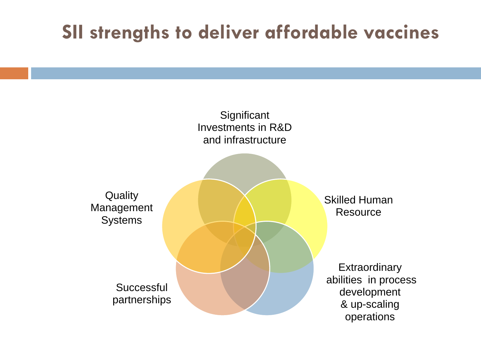### **SII strengths to deliver affordable vaccines**

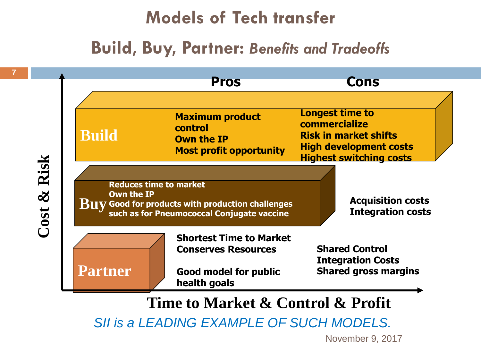### **Models of Tech transfer**

#### **Build, Buy, Partner:** *Benefits and Tradeoffs*



**Time to Market & Control & Profit**

*SII is a LEADING EXAMPLE OF SUCH MODELS.*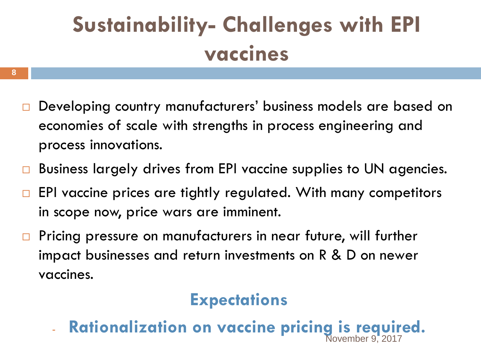## **Sustainability- Challenges with EPI vaccines**

- □ Developing country manufacturers' business models are based on economies of scale with strengths in process engineering and process innovations.
- □ Business largely drives from EPI vaccine supplies to UN agencies.
- $\Box$  EPI vaccine prices are tightly regulated. With many competitors in scope now, price wars are imminent.
- **Pricing pressure on manufacturers in near future, will further** impact businesses and return investments on R & D on newer vaccines.

#### **Expectations**

- **Rationalization on vaccine pricing is required.**  November 9, 2017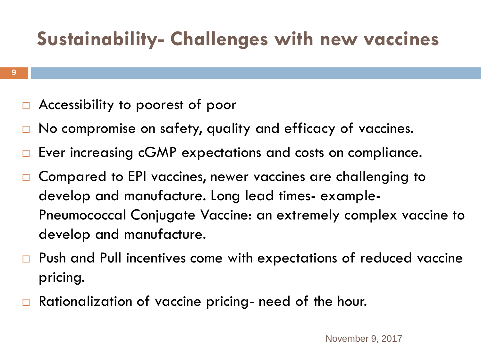### **Sustainability- Challenges with new vaccines**

- □ Accessibility to poorest of poor
- $\Box$  No compromise on safety, quality and efficacy of vaccines.
- □ Ever increasing cGMP expectations and costs on compliance.
- □ Compared to EPI vaccines, newer vaccines are challenging to develop and manufacture. Long lead times- example-Pneumococcal Conjugate Vaccine: an extremely complex vaccine to develop and manufacture.
- □ Push and Pull incentives come with expectations of reduced vaccine pricing.
- $\Box$  Rationalization of vaccine pricing- need of the hour.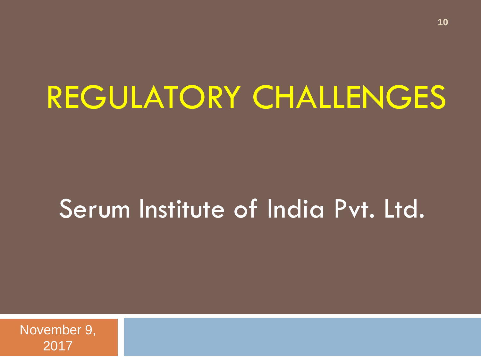# REGULATORY CHALLENGES

## Serum Institute of India Pvt. Ltd.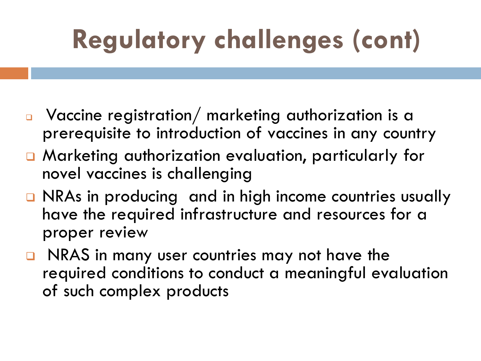# **Regulatory challenges (cont)**

- Vaccine registration/ marketing authorization is a prerequisite to introduction of vaccines in any country
- Marketing authorization evaluation, particularly for novel vaccines is challenging
- □ NRAs in producing and in high income countries usually have the required infrastructure and resources for a proper review
- NRAS in many user countries may not have the required conditions to conduct a meaningful evaluation of such complex products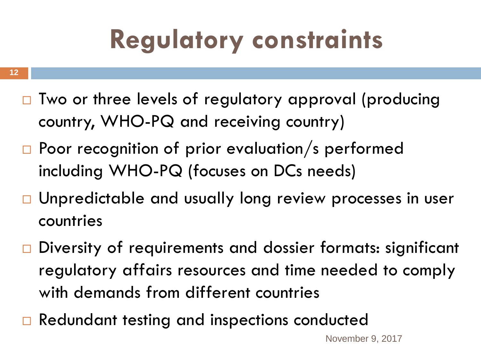# **Regulatory constraints**

- **12**
	- □ Two or three levels of regulatory approval (producing country, WHO-PQ and receiving country)
	- $\Box$  Poor recognition of prior evaluation/s performed including WHO-PQ (focuses on DCs needs)
	- □ Unpredictable and usually long review processes in user countries
	- □ Diversity of requirements and dossier formats: significant regulatory affairs resources and time needed to comply with demands from different countries
	- □ Redundant testing and inspections conducted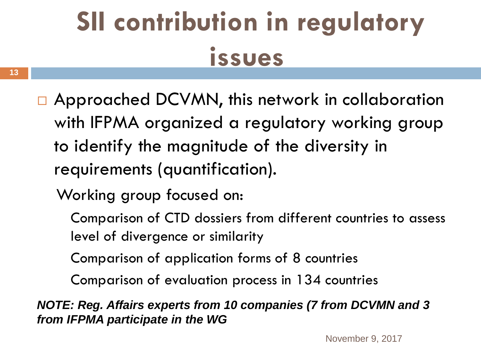# **SII contribution in regulatory issues**

- □ Approached DCVMN, this network in collaboration with IFPMA organized a regulatory working group to identify the magnitude of the diversity in requirements (quantification).
	- Working group focused on:
		- Comparison of CTD dossiers from different countries to assess level of divergence or similarity
		- Comparison of application forms of 8 countries
		- Comparison of evaluation process in 134 countries

*NOTE: Reg. Affairs experts from 10 companies (7 from DCVMN and 3 from IFPMA participate in the WG*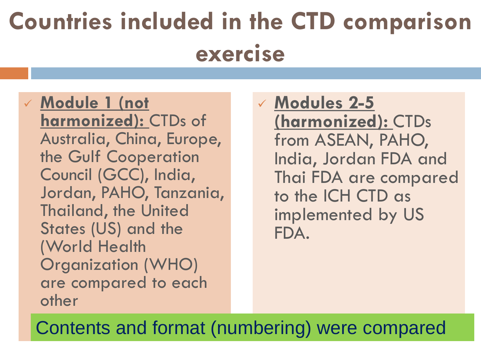# **Countries included in the CTD comparison exercise**

- **Module 1 (not harmonized):** CTDs of Australia, China, Europe, the Gulf Cooperation Council (GCC), India, Jordan, PAHO, Tanzania, Thailand, the United States (US) and the (World Health Organization (WHO) are compared to each other
- **Modules 2-5 (harmonized):** CTDs from ASEAN, PAHO, India, Jordan FDA and Thai FDA are compared to the ICH CTD as implemented by US FDA.

Contents and format (numbering) were compared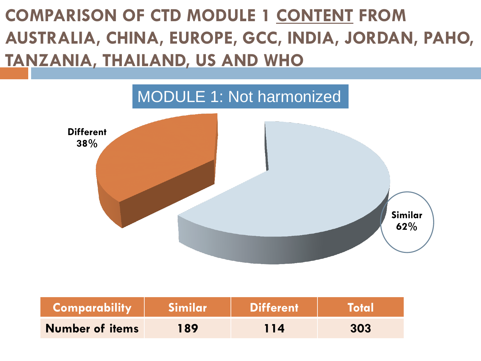### **COMPARISON OF CTD MODULE 1 CONTENT FROM AUSTRALIA, CHINA, EUROPE, GCC, INDIA, JORDAN, PAHO, TANZANIA, THAILAND, US AND WHO**



| Comparability          | Similar | <b>Different</b> | Total |
|------------------------|---------|------------------|-------|
| <b>Number of items</b> | 189     | 114              | 303   |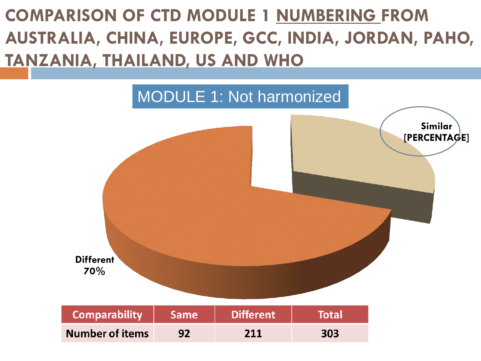### **COMPARISON OF CTD MODULE 1 NUMBERING FROM AUSTRALIA, CHINA, EUROPE, GCC, INDIA, JORDAN, PAHO, TANZANIA, THAILAND, US AND WHO**

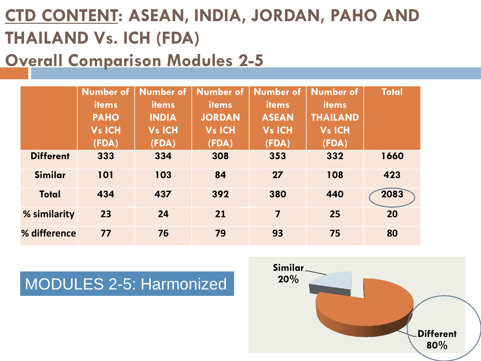### **CTD CONTENT: ASEAN, INDIA, JORDAN, PAHO AND THAILAND Vs. ICH (FDA)**

#### **Overall Comparison Modules 2-5**

|                  | Number of     | <b>Number of</b> | <b>Number of</b> | <b>Number of</b>        | <b>Number of</b> | <b>Total</b> |
|------------------|---------------|------------------|------------------|-------------------------|------------------|--------------|
|                  | <b>items</b>  | items            | <b>items</b>     | <b>items</b>            | items            |              |
|                  | <b>PAHO</b>   | <b>INDIA</b>     | <b>JORDAN</b>    | <b>ASEAN</b>            | <b>THAILAND</b>  |              |
|                  | <b>Vs ICH</b> | <b>Vs ICH</b>    | <b>Vs ICH</b>    | <b>Vs ICH</b>           | <b>Vs ICH</b>    |              |
|                  | (FDA)         | (FDA)            | (FDA)            | (FDA)                   | (FDA)            |              |
| <b>Different</b> | 333           | 334              | 308              | 353                     | 332              | 1660         |
| Similar          | 101           | 103              | 84               | 27                      | 108              | 423          |
| <b>Total</b>     | 434           | 437              | 392              | 380                     | 440              | 2083         |
| % similarity     | 23            | 24               | 21               | $\overline{\mathbf{z}}$ | 25               | 20           |
| % difference     | 77            | 76               | 79               | 93                      | 75               | 80           |

#### **20%** MODULES 2-5: Harmonized

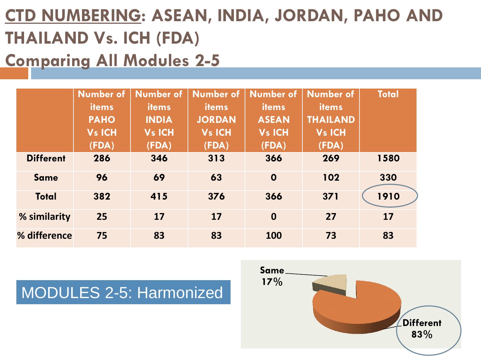### **CTD NUMBERING: ASEAN, INDIA, JORDAN, PAHO AND THAILAND Vs. ICH (FDA) Comparing All Modules 2-5**

|                  | Number of     | <b>Number of</b> | <b>Number of</b> | <b>Number of</b> | <b>Number of</b> | <b>Total</b> |
|------------------|---------------|------------------|------------------|------------------|------------------|--------------|
|                  | items         | <b>items</b>     | <i>items</i>     | <b>items</b>     | <b>items</b>     |              |
|                  | <b>PAHO</b>   | <b>INDIA</b>     | <b>JORDAN</b>    | <b>ASEAN</b>     | <b>THAILAND</b>  |              |
|                  | <b>Vs ICH</b> | <b>Vs ICH</b>    | <b>Vs ICH</b>    | <b>Vs ICH</b>    | <b>Vs ICH</b>    |              |
|                  | (FDA)         | (FDA)            | (FDA)            | (FDA)            | (FDA)            |              |
| <b>Different</b> | 286           | 346              | 313              | 366              | 269              | 1580         |
| <b>Same</b>      | 96            | 69               | 63               | $\mathbf 0$      | 102              | 330          |
| <b>Total</b>     | 382           | 415              | 376              | 366              | $371$            | 1910         |
| % similarity     | 25            | 17               | 17               | $\mathbf 0$      | 27               | 17           |
| % difference     | 75            | 83               | 83               | 100              | 73               | 83           |

#### MODULES 2-5: Harmonized

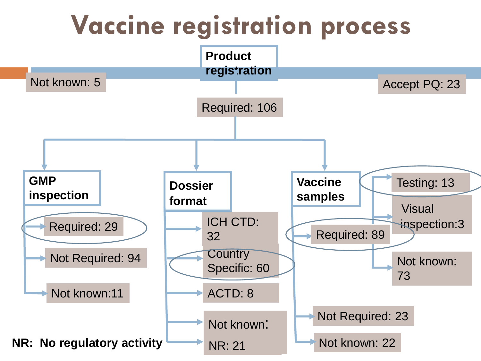## **Vaccine registration process**

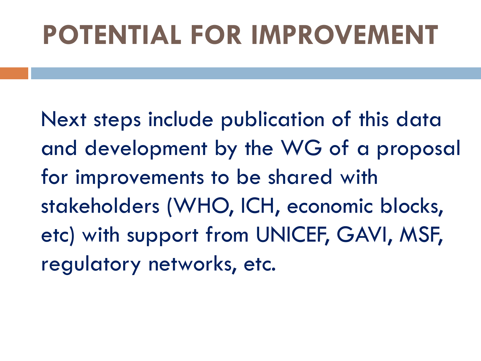# **POTENTIAL FOR IMPROVEMENT**

Next steps include publication of this data and development by the WG of a proposal for improvements to be shared with stakeholders (WHO, ICH, economic blocks, etc) with support from UNICEF, GAVI, MSF, regulatory networks, etc.